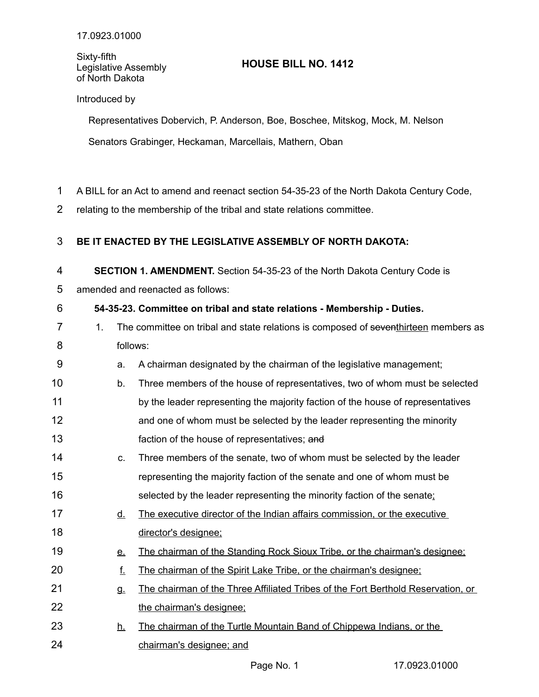### Sixty-fifth Legislative Assembly of North Dakota

# **HOUSE BILL NO. 1412**

## Introduced by

Representatives Dobervich, P. Anderson, Boe, Boschee, Mitskog, Mock, M. Nelson Senators Grabinger, Heckaman, Marcellais, Mathern, Oban

- A BILL for an Act to amend and reenact section 54-35-23 of the North Dakota Century Code, 1
- relating to the membership of the tribal and state relations committee. 2

### **BE IT ENACTED BY THE LEGISLATIVE ASSEMBLY OF NORTH DAKOTA:** 3

**SECTION 1. AMENDMENT.** Section 54-35-23 of the North Dakota Century Code is 4

amended and reenacted as follows: 5

### **54-35-23. Committee on tribal and state relations - Membership - Duties.** 6

|  | The committee on tribal and state relations is composed of seventhirteen members as |
|--|-------------------------------------------------------------------------------------|
|  | follows:                                                                            |

- a. A chairman designated by the chairman of the legislative management; 9
- b. Three members of the house of representatives, two of whom must be selected by the leader representing the majority faction of the house of representatives and one of whom must be selected by the leader representing the minority faction of the house of representatives; and 10 11 12 13
- c. Three members of the senate, two of whom must be selected by the leader representing the majority faction of the senate and one of whom must be selected by the leader representing the minority faction of the senate; 14 15 16
- d. The executive director of the Indian affairs commission, or the executive director's designee; 17 18
- e. The chairman of the Standing Rock Sioux Tribe, or the chairman's designee; 19
- f. The chairman of the Spirit Lake Tribe, or the chairman's designee; 20
- g. The chairman of the Three Affiliated Tribes of the Fort Berthold Reservation, or the chairman's designee; 21 22
- h. The chairman of the Turtle Mountain Band of Chippewa Indians, or the chairman's designee; and 23 24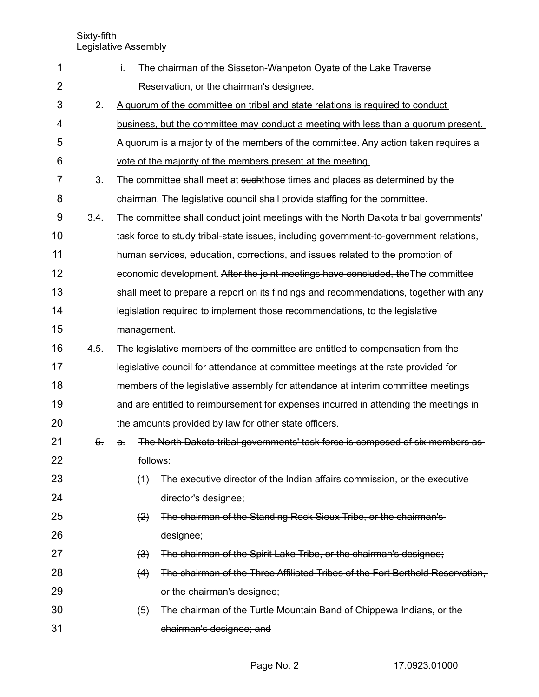Sixty-fifth

Legislative Assembly

|                  | Ţ.                         | The chairman of the Sisseton-Wahpeton Oyate of the Lake Traverse                       |
|------------------|----------------------------|----------------------------------------------------------------------------------------|
|                  |                            | Reservation, or the chairman's designee.                                               |
| 2.               |                            | A quorum of the committee on tribal and state relations is required to conduct         |
|                  |                            | business, but the committee may conduct a meeting with less than a quorum present.     |
|                  |                            | A quorum is a majority of the members of the committee. Any action taken requires a    |
|                  |                            | vote of the majority of the members present at the meeting.                            |
| 3 <sub>1</sub>   |                            | The committee shall meet at suchthose times and places as determined by the            |
|                  |                            | chairman. The legislative council shall provide staffing for the committee.            |
| 3.4.             |                            | The committee shall conduct joint meetings with the North Dakota tribal governments'   |
|                  |                            | task force to study tribal-state issues, including government-to-government relations, |
|                  |                            | human services, education, corrections, and issues related to the promotion of         |
|                  |                            | economic development. After the joint meetings have concluded, the The committee       |
|                  |                            | shall meet to prepare a report on its findings and recommendations, together with any  |
|                  |                            | legislation required to implement those recommendations, to the legislative            |
|                  | management.                |                                                                                        |
| 4.5.             |                            | The legislative members of the committee are entitled to compensation from the         |
|                  |                            | legislative council for attendance at committee meetings at the rate provided for      |
|                  |                            | members of the legislative assembly for attendance at interim committee meetings       |
|                  |                            | and are entitled to reimbursement for expenses incurred in attending the meetings in   |
|                  |                            | the amounts provided by law for other state officers.                                  |
| $\overline{5}$ . | $\mathbf{a}$ .             | The North Dakota tribal governments' task force is composed of six members as-         |
|                  | follows:                   |                                                                                        |
|                  | (4)                        | The executive director of the Indian affairs commission, or the executive-             |
|                  |                            | director's designee;                                                                   |
|                  | $\left( 2 \right)$         | The chairman of the Standing Rock Sioux Tribe, or the chairman's-                      |
|                  |                            | designee;                                                                              |
|                  |                            |                                                                                        |
|                  | $\left(\frac{3}{2}\right)$ | The chairman of the Spirit Lake Tribe, or the chairman's designee;                     |
|                  | (4)                        | The chairman of the Three Affiliated Tribes of the Fort Berthold Reservation.          |
|                  |                            | or the chairman's designee;                                                            |
|                  | $\left( 5 \right)$         | The chairman of the Turtle Mountain Band of Chippewa Indians, or the                   |
|                  |                            |                                                                                        |